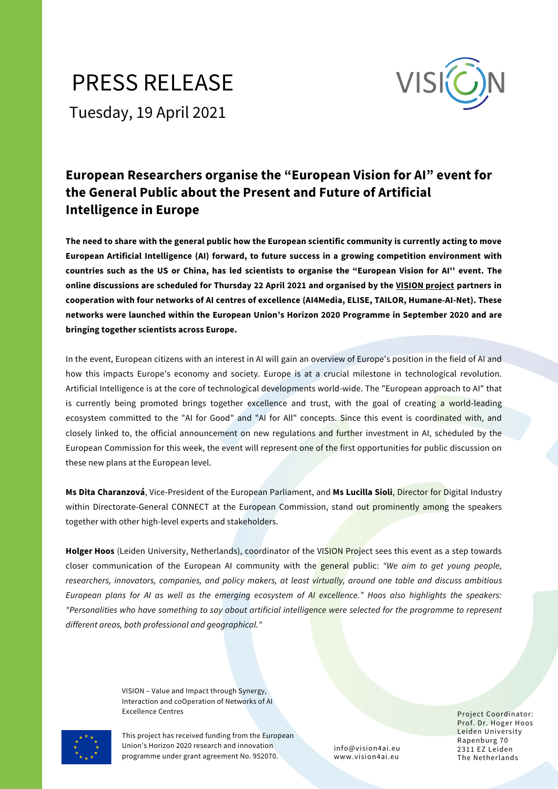## PRESS RELEASE Tuesday, 19 April 2021



## **European Researchers organise the "European Vision for AI" event for the General Public about the Present and Future of Artificial Intelligence in Europe**

The need to share with the general public how the European scientific community is currently acting to move **European Artificial Intelligence (AI) forward, to future success in a growing competition environment with** countries such as the US or China, has led scientists to organise the "European Vision for AI" event. The online discussions are scheduled for Thursday 22 April 2021 and organised by the VISION [project](https://www.vision4ai.eu/) partners in **cooperation with four networks of AI centres of excellence (AI4Media, ELISE, TAILOR, Humane-AI-Net). These networks were launched within the European Union's Horizon 2020 Programme in September 2020 and are bringing together scientists across Europe.**

In the event, European citizens with an interest in AI will gain an overview of Europe's position in the field of AI and how this impacts Europe's economy and society. Europe is at a crucial milestone in technological revolution. Artificial Intelligence is at the core of technological developments world-wide. The "European approach to AI" that is currently being promoted brings together excellence and trust, with the goal of creating a world-leading ecosystem committed to the "AI for Good" and "AI for All" concepts. Since this event is coordinated with, and closely linked to, the official announcement on new regulations and further investment in AI, scheduled by the European Commission for this week, the event will represent one of the first opportunities for public discussion on these new plans at the European level.

**Ms Dita Charanzová**, Vice-President of the European Parliament, and **Ms Lucilla Sioli**, Director for Digital Industry within Directorate-General CONNECT at the European Commission, stand out prominently among the speakers together with other high-level experts and stakeholders.

**Holger Hoos** (Leiden University, Netherlands), coordinator of the VISION Project sees this event as a step towards closer communication of the European AI community with the general public: *"We aim to get young people, researchers, innovators, companies, and policy makers, at least virtually, around one table and discuss ambitious* European plans for AI as well as the emerging ecosystem of AI excellence." Hoos also highlights the speakers: "Personalities who have something to say about artificial intelligence were selected for the programme to represent *different areas, both professional and geographical."*

> VISION – Value and Impact through Synergy, Interaction and coOperation of Networks of AI Excellence Centres **Excellence Centres** Project Coordinator:

This project has received funding from the European Union's Horizon 2020 research and innovation programme under grant agreement No. 952070.

info@vision4ai.eu www.vision4ai.eu

Prof. Dr. Hoger Hoos Leiden University Rapenburg 70 2311 EZ Leiden The Netherlands